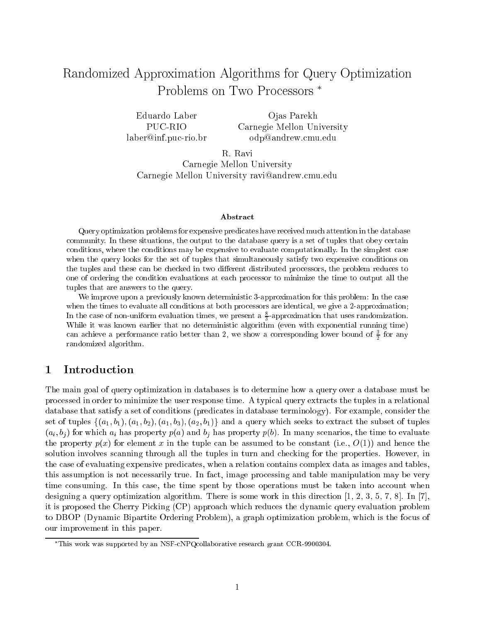# Randomized Approximation Algorithms for Query Optimization Problems on Two Processors

PUC-RIOlaber@inf.puc-rio.brOjas Parekh Carnegie Mellon University odp@andrew.cmu.edu

R. Ravi Carnegie Mellon University Carnegie Mellon University ravi@andrew.cmu.edu

#### Abstract

Query optimization problems for expensive predicates have received much attention in the database community. In these situations, the output to the database query is a set of tuples that obey certain conditions, where the conditions may be expensive to evaluate computationally. In the simplest case when the query looks for the set of tuples that simultaneously satisfy two expensive conditions on the tuples and these can be checked in two different distributed processors, the problem reduces to one of ordering the condition evaluations at each processor to minimize the time to output all the tuples that are answers to the query.

We improve upon a previously known deterministic 3-approximation for this problem: In the case when the times to evaluate all conditions at both processors are identical, we give a 2-approximation; In the case of non-uniform evaluation times, we present a  $\hat{\pi}$ -approximation that uses randomization. While it was known earlier that no deterministic algorithm (even with exponential running time)  $\mathcal{E}$ can achieve a performance ratio better than  $z$ , we show a corresponding lower bound of  $\frac{1}{2}$  for any randomized algorithm.

### 1 Introduction

The main goal of query optimization in databases is to determine how a query over a database must be processed in order to minimize the user response time. A typical query extracts the tuples in a relational database that satisfy a set of conditions (predicates in database terminology). For example, consider the set of tuples  $\{(a_1,b_1),(a_1,b_2),(a_1,b_3),(a_2,b_1)\}\$  and a query which seeks to extract the subset of tuples  $(a_i, b_j)$  for which  $a_i$  has property  $p(a)$  and  $b_j$  has property  $p(b)$ . In many scenarios, the time to evaluate the property  $p(x)$  for element x in the tuple can be assumed to be constant (i.e.,  $O(1)$ ) and hence the solution involves scanning through all the tuples in turn and checking for the properties. However, in the case of evaluating expensive predicates, when a relation contains complex data as images and tables, this assumption is not necessarily true. In fact, image processing and table manipulation may be very time consuming. In this case, the time spent by those operations must be taken into account when designing a query optimization algorithm. There is some work in this direction  $[1, 2, 3, 5, 7, 8]$ . In  $[7]$ , it is proposed the Cherry Picking (CP) approach which reduces the dynamic query evaluation problem to DBOP (Dynamic Bipartite Ordering Problem), a graph optimization problem, which is the focus of our improvement in this paper.

This work was supported by an NSF-cNPQcollaborative research grant CCR-9900304.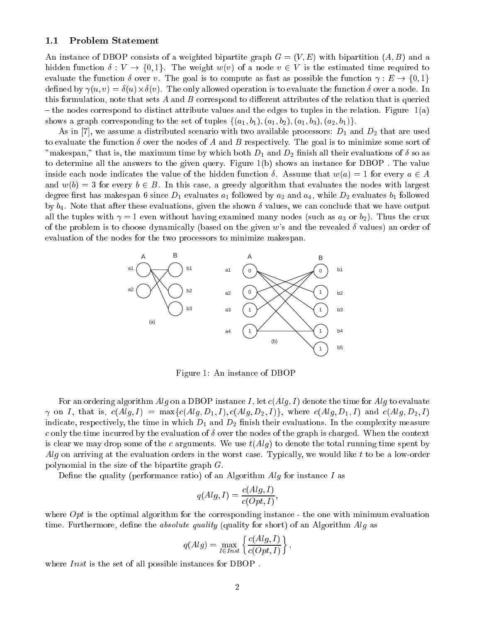#### 1.1 Problem Statement

An instance of DBOP consists of a weighted bipartite graph  $G = (V, E)$  with bipartition  $(A, B)$  and a hidden function  $\delta: V \to \{0,1\}$ . The weight  $w(v)$  of a node  $v \in V$  is the estimated time required to evaluate the function  $\delta$  over v. The goal is to compute as fast as possible the function  $\gamma : E \to \{0, 1\}$ dened by (u; v) = (u)-(v). The only allowed operation is to evaluate the function over a node. In this formulation, note that sets  $A$  and  $B$  correspond to different attributes of the relation that is queried  $-$  the nodes correspond to distinct attribute values and the edges to tuples in the relation. Figure 1(a) shows a graph corresponding to the set of tuples  $\{(a_1,b_1),(a_1,b_2),(a_1,b_3),(a_2,b_1)\}.$ 

As in [7], we assume a distributed scenario with two available processors:  $D_1$  and  $D_2$  that are used to evaluate the function  $\delta$  over the nodes of A and B respectively. The goal is to minimize some sort of "makespan," that is, the maximum time by which both  $D_1$  and  $D_2$  finish all their evaluations of  $\delta$  so as to determine all the answers to the given query. Figure 1(b) shows an instance for DBOP . The value inside each node indicates the value of the hidden function  $\delta$ . Assume that  $w(a) = 1$  for every  $a \in A$ and  $w(b) = 3$  for every  $b \in B$ . In this case, a greedy algorithm that evaluates the nodes with largest degree first has makespan 6 since  $D_1$  evaluates  $a_1$  followed by  $a_2$  and  $a_4$ , while  $D_2$  evaluates  $b_1$  followed by  $b_4$ . Note that after these evaluations, given the shown  $\delta$  values, we can conclude that we have output all the tuples with  $\gamma = 1$  even without having examined many nodes (such as  $a_3$  or  $b_2$ ). Thus the crux of the problem is to choose dynamically (based on the given w's and the revealed  $\delta$  values) an order of evaluation of the nodes for the two processors to minimize makespan.



Figure 1: An instance of DBOP

For an ordering algorithm Alg on a DBOP instance I, let  $c(Alg, I)$  denote the time for Alg to evaluate  $\gamma$  on I, that is,  $c(Alg, I) = \max\{c(Alg, D_1, I), c(Alg, D_2, I)\}\$ , where  $c(Alg, D_1, I)$  and  $c(Alg, D_2, I)$ indicate, respectively, the time in which  $D_1$  and  $D_2$  finish their evaluations. In the complexity measure c only the time incurred by the evaluation of  $\delta$  over the nodes of the graph is charged. When the context is clear we may drop some of the c arguments. We use  $t(Alg)$  to denote the total running time spent by  $Alg$  on arriving at the evaluation orders in the worst case. Typically, we would like t to be a low-order polynomial in the size of the bipartite graph G.

Define the quality (performance ratio) of an Algorithm  $Alg$  for instance  $I$  as

$$
q(Alg, I) = \frac{c(Alg, I)}{c(Opt, I)},
$$

where  $Opt$  is the optimal algorithm for the corresponding instance - the one with minimum evaluation time. Furthermore, define the *absolute quality* (quality for short) of an Algorithm  $Alg$  as

$$
q(Alg) = \max_{I \in Inst} \left\{ \frac{c(Alg, I)}{c(Opt, I)} \right\},\,
$$

where *Inst* is the set of all possible instances for DBOP.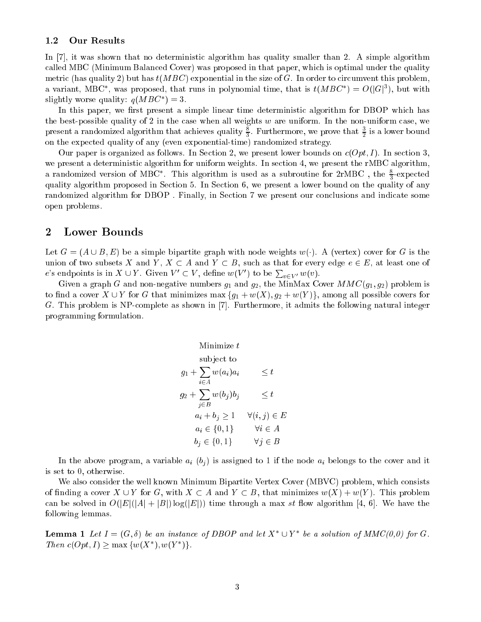### 1.2 Our Results

In [7], it was shown that no deterministic algorithm has quality smaller than 2. A simple algorithm called MBC (Minimum Balanced Cover) was proposed in that paper, which is optimal under the quality metric (has quality 2) but has  $t(MBC)$  exponential in the size of G. In order to circumvent this problem, a variant, MDC, was proposed, that runs in polynomial time, that is  $\iota(MDC) = O(|G|^2)$ , but with signuly worse quality:  $q \mu \nu \rightarrow 0$ .

In this paper, we first present a simple linear time deterministic algorithm for DBOP which has the best-possible quality of 2 in the case when all weights  $w$  are uniform. In the non-uniform case, we present a randomized algorithm that achieves quality  $\frac{1}{2}$ . Furthermore, we prove that  $\frac{1}{2}$  is a lower bound on the expected quality of any (even exponential-time) randomized strategy.

Our paper is organized as follows. In Section 2, we present lower bounds on  $c(Opt, I)$ . In section 3, we present a deterministic algorithm for uniform weights. In section 4, we present the rMBC algorithm, a randomized version of MBC). This algorithm is used as a subroutine for zrMBC, the  $\frac{1}{2}$ -expected quality algorithm proposed in Section 5. In Section 6, we present a lower bound on the quality of any randomized algorithm for DBOP . Finally, in Section 7 we present our conclusions and indicate some open problems.

### 2 Lower Bounds

Let  $G = (A \cup B, E)$  be a simple bipartite graph with node weights  $w(\cdot)$ . A (vertex) cover for G is the union of two subsets X and Y,  $X \subset A$  and  $Y \subset B$ , such as that for every edge  $e \in E$ , at least one of e's endpoints is in  $X \cup Y$ . Given  $V' \subset V$ , define  $w(V')$  to be  $\sum_{v \in V'} w(v)$ .

Given a graph G and non-negative numbers  $g_1$  and  $g_2$ , the MinMax Cover  $MMC(g_1, g_2)$  problem is to find a cover  $X \cup Y$  for G that minimizes max  $\{g_1+w(X), g_2+w(Y)\}\)$ , among all possible covers for G. This problem is NP-complete as shown in [7]. Furthermore, it admits the following natural integer programming formulation.

$$
\begin{aligned}\n\text{Minimize } t & \text{subject to} \\
g_1 + \sum_{i \in A} w(a_i) a_i & \leq t \\
g_2 + \sum_{j \in B} w(b_j) b_j & \leq t \\
a_i + b_j & \geq 1 \quad \forall (i, j) \in E \\
a_i \in \{0, 1\} & \forall i \in A \\
b_j \in \{0, 1\} & \forall j \in B\n\end{aligned}
$$

In the above program, a variable  $a_i$  (b<sub>i</sub>) is assigned to 1 if the node  $a_i$  belongs to the cover and it is set to 0, otherwise.

We also consider the well known Minimum Bipartite Vertex Cover (MBVC) problem, which consists of finding a cover  $X \cup Y$  for G, with  $X \subset A$  and  $Y \subset B$ , that minimizes  $w(X) + w(Y)$ . This problem can be solved in  $O(|E|(|A|+|B|)\log(|E|))$  time through a max st flow algorithm [4, 6]. We have the following lemmas.

**Lemma 1** Let  $I = (G, 0)$  be an instance of DDOP and let  $A \cup I$  be a solution of MMC(0,0) for G. I new  $c(\text{Opt}, 1) \geq \max_{x \in \mathcal{X}} \{w(x, y(x))\}$ .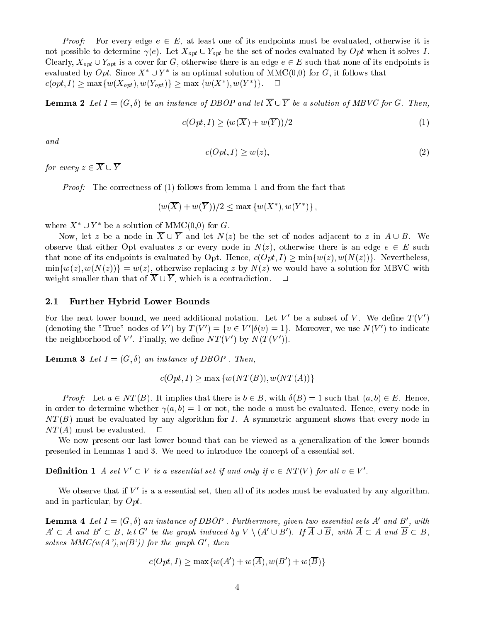*Proof:* For every edge  $e \in E$ , at least one of its endpoints must be evaluated, otherwise it is not possible to determine  $\gamma(e)$ . Let  $X_{opt} \cup Y_{opt}$  be the set of nodes evaluated by Opt when it solves I. Clearly,  $X_{opt} \cup Y_{opt}$  is a cover for G, otherwise there is an edge  $e \in E$  such that none of its endpoints is evaluated by  $Opt.$  Since  $A \cup I$  is an optimal solution of MMC(0,0) for  $G$ , it follows that  $c(opt, I) \geq \max\{w(\Lambda_{opt}), w(\Upsilon_{opt})\} \geq \max\{w(\Lambda_-, w(Y))\}.$ 

**Lemma 2** Let  $I = (G, \delta)$  be an instance of DBOP and let  $\overline{X} \cup \overline{Y}$  be a solution of MBVC for G. Then,

$$
c(Opt, I) \ge (w(\overline{X}) + w(\overline{Y}))/2
$$
\n<sup>(1)</sup>

and

$$
c(Opt, I) \ge w(z),\tag{2}
$$

for every  $z \in \overline{X} \cup \overline{Y}$ 

Proof: The correctness of (1) follows from lemma 1 and from the fact that

 $(w(\Lambda) + w(\Lambda)) / 2 \leq \max \{w(\Lambda) , w(\Lambda) \}$ 

where  $\Lambda$   $\cup$   $\Gamma$  be a solution of MMC(0,0) for G.

Now, let z be a node in  $\overline{X} \cup \overline{Y}$  and let  $N(z)$  be the set of nodes adjacent to z in  $A \cup B$ . We observe that either Opt evaluates z or every node in  $N(z)$ , otherwise there is an edge  $e \in E$  such that none of its endpoints is evaluated by Opt. Hence,  $c(Opt, I) \ge \min\{w(z), w(N(z))\}\.$  Nevertheless,  $\min\{w(z), w(N(z))\} = w(z)$ , otherwise replacing z by  $N(z)$  we would have a solution for MBVC with weight smaller than that of  $\overline{X} \cup \overline{Y}$ , which is a contradiction.  $\Box$ 

#### 2.1 Further Hybrid Lower Bounds

For the next lower bound, we need additional notation. Let  $V$  be a subset of  $V$ . We define  $I(V)$ (denoting the "True" nodes of V  $\rightarrow$  by  $T(V) = \{v \in V | o(v) = 1\}$ . Moreover, we use  $N(V)$  to indicate the heighborhood of  $V$ . Finally, we define  $N I (V)$  by  $N (I (V))$ .

**Lemma 3** Let  $I = (G, \delta)$  an instance of DBOP. Then,

$$
c(Opt, I) \ge \max \{w(NT(B)), w(NT(A))\}
$$

*Proof:* Let  $a \in NT(B)$ . It implies that there is  $b \in B$ , with  $\delta(B) = 1$  such that  $(a, b) \in E$ . Hence, in order to determine whether  $\gamma(a, b) = 1$  or not, the node a must be evaluated. Hence, every node in  $NT(B)$  must be evaluated by any algorithm for I. A symmetric argument shows that every node in  $NT(A)$  must be evaluated.  $\Box$ 

We now present our last lower bound that can be viewed as a generalization of the lower bounds presented in Lemmas 1 and 3. We need to introduce the concept of a essential set.

**Definition 1** A set  $V \subset V$  is a essential set if and only if  $v \in N$  **I** (V) for all  $v \in V$ .

We observe that if  $V$  is a a essential set, then all of its nodes must be evaluated by any algorithm, and in particular, by Opt.

**Lemma 4** Let  $I = (G, 0)$  an instance of DBOP. Furthermore, qiven two essential sets A and B, with  $A\subset A$  and  $D\subset D$ , let  $G$  be the graph induced by  $V\setminus\{A\cup D\}$ , if  $A\cup D$ , with  $A\subset A$  and  $D\subset D$ , solves  $MMC(w(A'), w(B'))$  for the graph  $G'$ , then

$$
c(Opt, I) \ge \max\{w(A') + w(\overline{A}), w(B') + w(\overline{B})\}
$$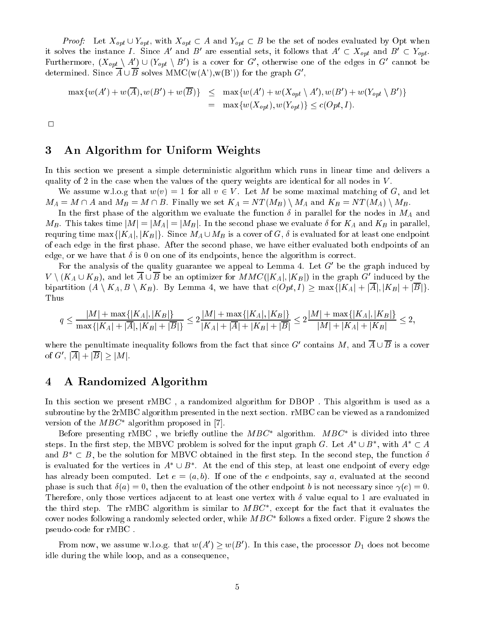*Proof:* Let  $X_{opt} \cup Y_{opt}$ , with  $X_{opt} \subset A$  and  $Y_{opt} \subset B$  be the set of nodes evaluated by Opt when it solves the instance I. Since A and B are essential sets, it follows that  $A\subset \Lambda_{opt}$  and  $B\subset I_{opt}$ . Furthermore,  $(\Lambda_{opt} \setminus A) \cup (Y_{opt} \setminus B)$  is a cover for G, otherwise one of the edges in G cannot be determined. Since  $A \cup B$  solves MMC( $w(A')$ , $w(B')$ ) for the graph  $G'$ ,

$$
\max \{w(A') + w(\overline{A}), w(B') + w(\overline{B})\} \leq \max \{w(A') + w(X_{opt} \setminus A'), w(B') + w(Y_{opt} \setminus B')\}
$$
  
= 
$$
\max \{w(X_{opt}), w(Y_{opt})\} \leq c(Opt, I).
$$

 $\Box$ 

### 3 An Algorithm for Uniform Weights

In this section we present a simple deterministic algorithm which runs in linear time and delivers a quality of 2 in the case when the values of the query weights are identical for all nodes in  $V$ .

We assume w.l.o.g that  $w(v) = 1$  for all  $v \in V$ . Let M be some maximal matching of G, and let  $M_A = M \cap A$  and  $M_B = M \cap B$ . Finally we set  $K_A = NT(M_B) \setminus M_A$  and  $K_B = NT(M_A) \setminus M_B$ .

In the first phase of the algorithm we evaluate the function  $\delta$  in parallel for the nodes in  $M_A$  and  $M_B$ . This takes time  $|M| = |M_A| = |M_B|$ . In the second phase we evaluate  $\delta$  for  $K_A$  and  $K_B$  in parallel, requring time max $\{[K_A], [K_B]\}\$ . Since  $M_A \cup M_B$  is a cover of  $G, \delta$  is evaluated for at least one endpoint of each edge in the first phase. After the second phase, we have either evaluated both endpoints of an edge, or we have that  $\delta$  is 0 on one of its endpoints, hence the algorithm is correct.

For the analysis of the quality guarantee we appeal to Lemma  $4$ . Let  $G$  be the graph induced by  $V \setminus (K_A \cup K_B)$ , and let  $A \cup B$  be an optimizer for  $M M C([K_A], [K_B])$  in the graph G moderation by the bipartition  $(A \setminus K_A, B \setminus K_B)$ . By Lemma 4, we have that  $c(Opt, I) \ge \max\{|K_A| + |\overline{A}|, |K_B| + |\overline{B}|\}.$ Thus

$$
q \le \frac{|M| + \max\{|K_A|, |K_B|\}}{\max\{|K_A| + |\overline{A}|, |K_B| + |\overline{B}|\}} \le 2\frac{|M| + \max\{|K_A|, |K_B|\}}{|K_A| + |\overline{A}| + |K_B| + |\overline{B}|} \le 2\frac{|M| + \max\{|K_A|, |K_B|\}}{|M| + |K_A| + |K_B|} \le 2,
$$

where the penultimate inequality follows from the fact that since  $G$  contains  $M$ , and  $A \cup B$  is a cover 0 G,  $|A| + |B| \geq |M|$ .

### 4 A Randomized Algorithm

In this section we present rMBC , a randomized algorithm for DBOP . This algorithm is used as a subroutine by the 2rMBC algorithm presented in the next section. rMBC can be viewed as a randomized version of the  $MB$ C algorithm proposed in  $\binom{7}{5}$ .

Defore presenting rivided, we briefly outline the  $MDC$  algorithm. MBC is divided into three steps. In the first step, the MBVC problem is solved for the input graph  $G$ . Let  $A$   $\cup$   $D$  , with  $A$   $\subset$   $A$ and  $B^* \subset B$ , be the solution for MBVC obtained in the first step. In the second step, the function  $\delta$ is evaluated for the vertices in  $A$   $\cup$   $D$  . At the end of this step, at least one endpoint of every edge has already been computed. Let  $e = (a, b)$ . If one of the e endpoints, say a, evaluated at the second phase is such that  $\delta(a) = 0$ , then the evaluation of the other endpoint b is not necessary since  $\gamma(e) = 0$ . Therefore, only those vertices adjacent to at least one vertex with  $\delta$  value equal to 1 are evaluated in the third step. The rMBC algorithm is similar to  $MBC$  , except for the fact that it evaluates the cover houes following a randomly selected order, while  $M D C$  follows a lixed order. Figure 2 shows the pseudo-code for rMBC .

From now, we assume w.i.o.g. that  $w(A) \geq w(D)$ . In this case, the processor  $D_1$  does not become idle during the while loop, and as a consequence,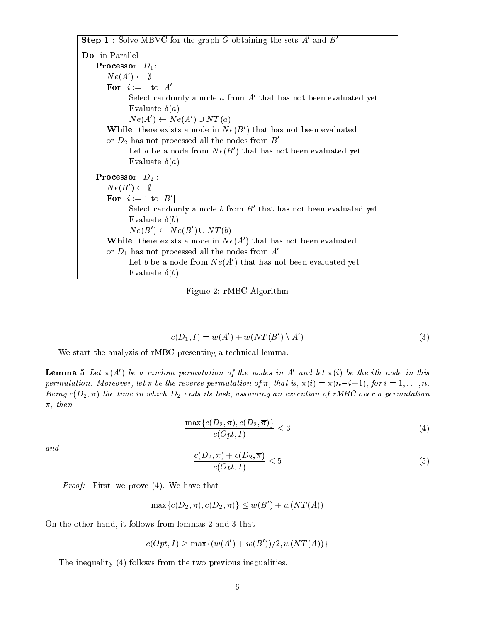Step  $\bf{1}$  : Solve MD v G for the graph G obtaining the sets A and D. Do in Parallel **Processor**  $D_1$ :  $N \in (A \cup \leftarrow \emptyset)$ For  $i := 1$  to  $|A|$ Select randomly a node  $a$  from  $A$  that has not been evaluated yet Evaluate  $\delta(a)$  $N \ell(A) \leftarrow N \ell(A) \cup N I(u)$ **While** there exists a node in  $N \epsilon(D)$  that has not been evaluated or  $D_2$  has not processed all the nodes from  $B'$ Let  $a$  be a node from  $N e(D)$  that has not been evaluated yet Evaluate  $\delta(a)$ **Processor**  $D_2$ :  $I$ v $e(D)$   $\leftarrow$   $\psi$ FOI  $i := 1$  to  $|D|$ Select randomly a hode  $\theta$  from  $D$  that has not been evaluated yet Evaluate  $\delta(b)$  $N \ell(D) \leftarrow N \ell(D) \cup N I(0)$ **While** there exists a node in  $Ne(A)$  that has not been evaluated or  $D_1$  has not processed all the nodes from  $A'$ Let  $\mathfrak o$  be a node from  $\mathfrak{ve}(A_+)$  that has not been evaluated yet Evaluate  $\delta(b)$ 

Figure 2: rMBC Algorithm

$$
c(D_1, I) = w(A') + w(NT(B') \setminus A')
$$
\n<sup>(3)</sup>

We start the analyzis of rMBC presenting a technical lemma.

**Lemma 5** Let  $\pi(A)$  be a random permutation of the nodes in  $A$  and let  $\pi(i)$  be the ith node in this permutation. Moreover, let  $\overline{\pi}$  be the reverse permutation of  $\pi$ , that is,  $\overline{\pi}(i) = \pi(n-i+1)$ , for  $i = 1, \ldots, n$ . Being  $c(D_2, \pi)$  the time in which  $D_2$  ends its task, assuming an execution of rMBC over a permutation  $\pi$ , then

$$
\frac{\max\{c(D_2, \pi), c(D_2, \overline{\pi})\}}{c(Opt, I)} \le 3\tag{4}
$$

and

$$
\frac{c(D_2, \pi) + c(D_2, \overline{\pi})}{c(Opt, I)} \le 5
$$
\n
$$
(5)
$$

Proof: First, we prove (4). We have that

 $\max\{c(D_2, \pi), c(D_2, \pi)\}\leq w(B_1+w(N I(A))$ 

On the other hand, it follows from lemmas 2 and 3 that

$$
c(Opt, I) \ge \max\{(w(A') + w(B'))/2, w(NT(A))\}
$$

The inequality (4) follows from the two previous inequalities.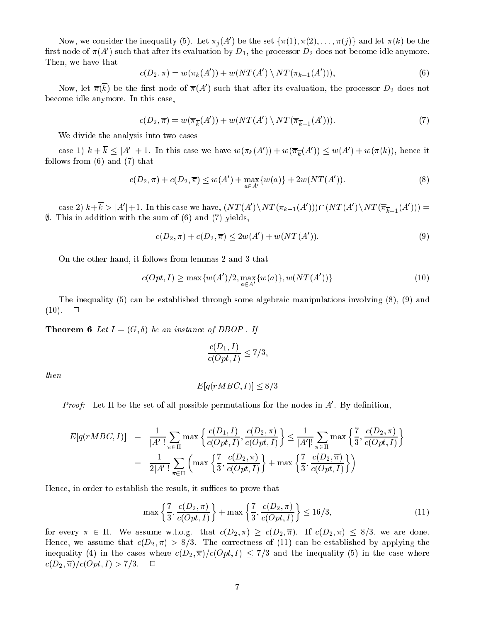Now, we consider the inequality (5). Let  $\pi_j(A)$  be the set  $\{\pi(1), \pi(2), \ldots, \pi(j)\}$  and let  $\pi(k)$  be the first node of  $\pi(A_0)$  such that after its evaluation by  $D_1,$  the processor  $D_2$  does not become idle anymore. Then, we have that

$$
c(D_2, \pi) = w(\pi_k(A')) + w(NT(A') \setminus NT(\pi_{k-1}(A'))),
$$
\n(6)

Now, let  $\pi(\kappa)$  be the first node of  $\pi(A)$  such that after its evaluation, the processor  $D_2$  does not become idle anymore. In this case,

$$
c(D_2, \overline{\pi}) = w(\overline{\pi}_k(A')) + w(NT(A') \setminus NT(\overline{\pi}_{k-1}(A'))). \tag{7}
$$

We divide the analysis into two cases

case 1)  $\kappa + \kappa \leq |A| + 1$ . In this case we have  $w(\pi_k(A)) + w(\pi_{\overline{k}}(A)) \leq w(A) + w(\pi(\kappa))$ , hence it follows from (6) and (7) that

$$
c(D_2, \pi) + c(D_2, \overline{\pi}) \le w(A') + \max_{a \in A'} \{w(a)\} + 2w(NT(A')). \tag{8}
$$

case 2)  $\kappa + \kappa > |A| + 1$ . In this case we have,  $\left(N I(A) \ N I(\pi_{k-1}(A))\right) \mid \left(N I(A) \ N I(\pi_{k-1}(A))\right) =$  $\emptyset$ . This in addition with the sum of (6) and (7) yields,

$$
c(D_2, \pi) + c(D_2, \overline{\pi}) \le 2w(A') + w(NT(A')). \tag{9}
$$

On the other hand, it follows from lemmas 2 and 3 that

$$
c(Opt, I) \ge \max\{w(A')/2, \max_{a \in A'} \{w(a)\}, w(NT(A'))\}
$$
\n(10)

The inequality (5) can be established through some algebraic manipulations involving (8), (9) and  $(10). \Box$ 

**Theorem 6** Let  $I = (G, \delta)$  be an instance of DBOP. If

$$
\frac{c(D_1,I)}{c(Opt,I)}\leq 7/3,
$$

then

$$
E[q(rMBC, I)] \le 8/3
$$

*Proof*: Let II be the set of all possible permutations for the nodes in  $A$ . By definition,

$$
E[q(rMBC, I)] = \frac{1}{|A'|!} \sum_{\pi \in \Pi} \max \left\{ \frac{c(D_1, I)}{c(Opt, I)}, \frac{c(D_2, \pi)}{c(Opt, I)} \right\} \le \frac{1}{|A'|!} \sum_{\pi \in \Pi} \max \left\{ \frac{7}{3}, \frac{c(D_2, \pi)}{c(Opt, I)} \right\}
$$
  
= 
$$
\frac{1}{2|A'|!} \sum_{\pi \in \Pi} \left( \max \left\{ \frac{7}{3}, \frac{c(D_2, \pi)}{c(Opt, I)} \right\} + \max \left\{ \frac{7}{3}, \frac{c(D_2, \pi)}{c(Opt, I)} \right\} \right)
$$

Hence, in order to establish the result, it suffices to prove that

$$
\max\left\{\frac{7}{3}, \frac{c(D_2, \pi)}{c(Opt, I)}\right\} + \max\left\{\frac{7}{3}, \frac{c(D_2, \overline{\pi})}{c(Opt, I)}\right\} \le 16/3,
$$
\n(11)

for every  $\pi \in \Pi$ . We assume w.l.o.g. that  $c(D_2, \pi) \geq c(D_2, \pi)$ . If  $c(D_2, \pi) \leq 8/3$ , we are done. Hence, we assume that  $c(D_2, \pi) > 8/3$ . The correctness of (11) can be established by applying the inequality (4) in the cases where  $c(D_2, \overline{\pi})/c(Opt, I) \leq 7/3$  and the inequality (5) in the case where  $c(D_2, \overline{\pi})/c(Opt, I) > 7/3.$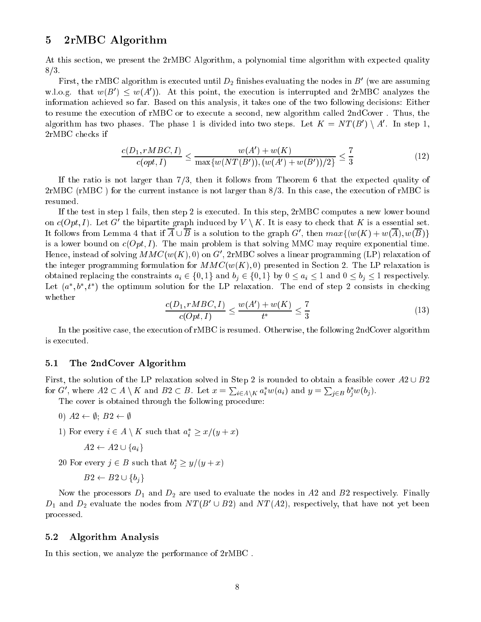### 5 2rMBC Algorithm

At this section, we present the 2rMBC Algorithm, a polynomial time algorithm with expected quality 8/3.

First, the rMDC algorithm is executed until  $D_2$  milishes evaluating the hodes in  $D^0$  (we are assuming w.i.o.g. that  $w(D) \leq w(A)$ ). At this point, the execution is interrupted and 2rMDC analyzes the information achieved so far. Based on this analysis, it takes one of the two following decisions: Either to resume the execution of rMBC or to execute a second, new algorithm called 2ndCover . Thus, the algorithm has two phases. The phase I is divided into two steps. Let  $K = N I (B) \setminus A$ . In step 1, 2rMBC checks if

$$
\frac{c(D_1, rMBC, I)}{c(opt, I)} \le \frac{w(A') + w(K)}{\max\{w(NT(B')), (w(A') + w(B'))/2\}} \le \frac{7}{3}
$$
\n(12)

If the ratio is not larger than  $7/3$ , then it follows from Theorem 6 that the expected quality of 2rMBC (rMBC ) for the current instance is not larger than 8/3. In this case, the execution of rMBC is resumed.

If the test in step 1 fails, then step 2 is executed. In this step, 2rMBC computes a new lower bound on  $c(\mathcal{O}p_t, I)$ . Let  $G$  the bipartite graph induced by  $V \setminus K$ . It is easy to check that  $K$  is a essential set. It follows from Lemma 4 that if  $A \cup D$  is a solution to the graph  $G$ , then  $max_{i}(w(\mathbf{A}) + w(A), w(D))$ is a lower bound on  $c(Opt, I)$ . The main problem is that solving MMC may require exponential time. Hence, instead of solving MMC(w(A), 0) on G , 2rMBC solves a linear programming (LP) relaxation of the integer programming formulation for  $MMC(w(K), 0)$  presented in Section 2. The LP relaxation is obtained replacing the constraints  $a_i \in \{0, 1\}$  and  $b_j \in \{0, 1\}$  by  $0 \le a_i \le 1$  and  $0 \le b_j \le 1$  respectively. Let  $\{a_-, b_-, t_-\}$  the optimum solution for the LP relaxation. The end of step 2 consists in checking whether

$$
\frac{c(D_1, rMBC, I)}{c(Opt, I)} \le \frac{w(A') + w(K)}{t^*} \le \frac{7}{3}
$$
\n(13)

In the positive case, the execution of rMBC is resumed. Otherwise, the following 2ndCover algorithm is executed.

### 5.1 The 2ndCover Algorithm

First, the solution of the LP relaxation solved in Step 2 is rounded to obtain a feasible cover  $A2 \cup B2$ for G', where  $A2 \subset A \setminus K$  and  $B2 \subset B$ . Let  $x = \sum_{i \in A \setminus K} a_i^* w(a_i)$  and  $y = \sum_{j \in B} b_j^* w(b_j)$ .

The cover is obtained through the following procedure:

- 0)  $A2 \leftarrow \emptyset$ ;  $B2 \leftarrow \emptyset$
- 1) For every  $i \in A \setminus \Lambda$  such that  $a_i \geq x/(y+x)$

$$
A2 \leftarrow A2 \cup \{a_i\}
$$

zo ror every  $j \in D$  such that  $\theta_j \geq y/(y + x)$ 

$$
B2 \leftarrow B2 \cup \{b_j\}
$$

Now the processors  $D_1$  and  $D_2$  are used to evaluate the nodes in A2 and B2 respectively. Finally  $D_1$  and  $D_2$  evaluate the nodes from N T (D  $\cup$  D2) and N I (A2), respectively, that have not yet been processed.

#### 5.2 Algorithm Analysis

In this section, we analyze the performance of 2rMBC .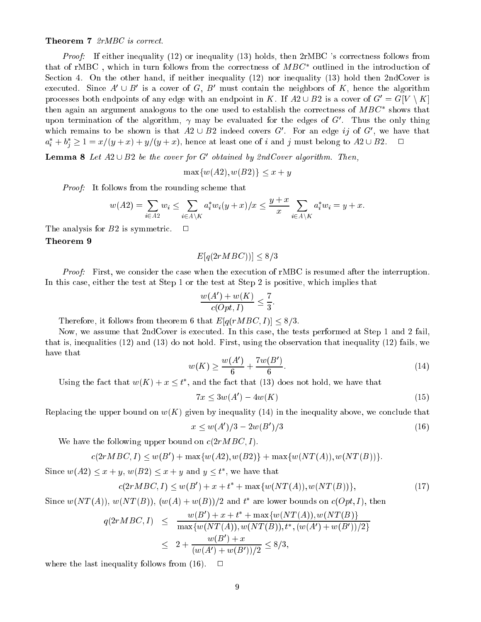#### Theorem 7 2rMBC is correct.

Proof: If either inequality (12) or inequality (13) holds, then 2rMBC 's correctness follows from that of rMDC, which in turn follows from the correctness of *MDC* outlined in the introduction of Section 4. On the other hand, if neither inequality (12) nor inequality (13) hold then 2ndCover is executed. Since  $A\cup D$  is a cover of  $G,$   $D$  must contain the neighbors of  $K$ , hence the algorithm processes both endpoints of any edge with an endpoint in K. If  $A2 \cup B2$  is a cover of  $G' = G[V \setminus K]$ then again an argument analogous to the one used to establish the correctness of  $MBC$  shows that upon termination of the algorithm,  $\gamma$  may be evaluated for the edges of  $G$ . Thus the only thing which remains to be shown is that  $A2 \cup B2$  indeed covers  $G$ . For an edge  $ij$  of  $G$ , we have that  $a_i + b_j \geq 1 \equiv x/(y+x) + y/(y+x)$ , hence at least one of i and j must belong to A2 OB2.

**Lemma 8** Let  $A2 \cup B2$  be the cover for G covaried by  $z$ ndCover algorithm. Then,

$$
\max\{w(A2), w(B2)\} \le x + y
$$

Proof: It follows from the rounding scheme that

$$
w(A2) = \sum_{i \in A2} w_i \le \sum_{i \in A \setminus K} a_i^* w_i (y+x)/x \le \frac{y+x}{x} \sum_{i \in A \setminus K} a_i^* w_i = y+x.
$$

The analysis for  $B2$  is symmetric.  $\square$ 

#### Theorem <sup>9</sup>

$$
E[q(2rMBC))] \le 8/3
$$

Proof: First, we consider the case when the execution of rMBC is resumed after the interruption. In this case, either the test at Step 1 or the test at Step 2 is positive, which implies that

$$
\frac{w(A') + w(K)}{c(Opt, I)} \le \frac{7}{3}.
$$

Therefore, it follows from theorem 6 that  $E[q(rMBC, I)] \leq 8/3$ .

Now, we assume that 2ndCover is executed. In this case, the tests performed at Step 1 and 2 fail, that is, inequalities (12) and (13) do not hold. First, using the observation that inequality (12) fails, we have that

$$
w(K) \ge \frac{w(A')}{6} + \frac{7w(B')}{6}.\tag{14}
$$

Using the fact that  $w(K) + x \leq t$ , and the fact that (15) does not hold, we have that

$$
7x \le 3w(A') - 4w(K) \tag{15}
$$

Replacing the upper bound on  $w(K)$  given by inequality (14) in the inequality above, we conclude that

$$
x \le w(A')/3 - 2w(B')/3 \tag{16}
$$

We have the following upper bound on  $c(2rMBC, I)$ .

$$
c(2rMBC, I) \le w(B') + \max\{w(A2), w(B2)\} + \max\{w(NT(A)), w(NT(B))\}.
$$

Since  $w(Az) \leq x + y$ ,  $w(Dz) \leq x + y$  and  $y \leq t$ , we have that

$$
c(2rMBC, I) \le w(B') + x + t^* + \max\{w(NT(A)), w(NT(B))\},\tag{17}
$$

Since  $w(N I(A))$ ,  $w(N I(D))$ ,  $(w(A) + w(D))$ /2 and t are lower bounds on  $c(Op_i, I)$ , then

$$
q(2rMBC, I) \leq \frac{w(B') + x + t^* + \max\{w(NT(A)), w(NT(B)\}}{\max\{w(NT(A)), w(NT(B)), t^*, (w(A') + w(B'))/2\}}
$$
  

$$
\leq 2 + \frac{w(B') + x}{(w(A') + w(B'))/2} \leq 8/3,
$$

where the last inequality follows from (16).  $\Box$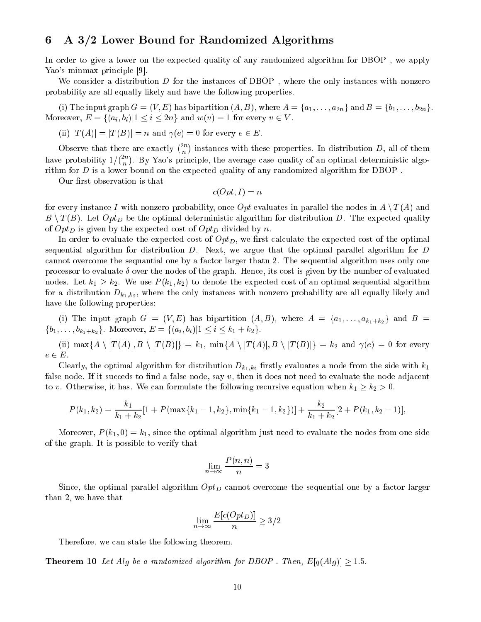## 6 A 3/2 Lower Bound for Randomized Algorithms

In order to give a lower on the expected quality of any randomized algorithm for DBOP , we apply Yao's minmax principle [9].

We consider a distribution  $D$  for the instances of DBOP, where the only instances with nonzero probability are all equally likely and have the following properties.

(i) The input graph  $G = (V, E)$  has bipartition  $(A, B)$ , where  $A = \{a_1, \ldots, a_{2n}\}$  and  $B = \{b_1, \ldots, b_{2n}\}.$ Moreover,  $E = \{(a_i, b_i) | 1 \le i \le 2n\}$  and  $w(v) = 1$  for every  $v \in V$ .

(ii) 
$$
|T(A)| = |T(B)| = n
$$
 and  $\gamma(e) = 0$  for every  $e \in E$ .

Observe that there are exactly  $\binom{2n}{n}$  $\it n$ . . instances with these properties. In distribution D, all of them have probability 1= 2n  $\it n$  . By Yao's principle, the average case quality of an optimal deterministic algorithm for D is a lower bound on the expected quality of any randomized algorithm for DBOP .

Our first observation is that

 $c(Opt, I) = n$  $\blacksquare$ 

for every instance I with nonzero probability, once Opt evaluates in parallel the nodes in  $A \setminus T(A)$  and  $B \setminus T(B)$ . Let  $Opt_D$  be the optimal deterministic algorithm for distribution D. The expected quality of  $Opt_D$  is given by the expected cost of  $Opt_D$  divided by n.

In order to evaluate the expected cost of  $Opt_D$ , we first calculate the expected cost of the optimal sequential algorithm for distribution  $D$ . Next, we argue that the optimal parallel algorithm for  $D$ cannot overcome the sequantial one by a factor larger thatn 2. The sequential algorithm uses only one processor to evaluate  $\delta$  over the nodes of the graph. Hence, its cost is given by the number of evaluated nodes. Let  $k_1 \geq k_2$ . We use  $P(k_1, k_2)$  to denote the expected cost of an optimal sequential algorithm for a distribution  $D_{k_1,k_2}$ , where the only instances with nonzero probability are all equally likely and have the following properties:

(i) The input graph  $G = (V, E)$  has bipartition  $(A, B)$ , where  $A = \{a_1, \ldots, a_{k_1+k_2}\}\$  and  $B =$  $\{b_1, \ldots, b_{k_1+k_2}\}.$  Moreover,  $E = \{(a_i, b_i) | 1 \le i \le k_1 + k_2\}.$ 

(ii)  $\max\{A \setminus |T(A)|, B \setminus |T(B)|\} = k_1$ ,  $\min\{A \setminus |T(A)|, B \setminus |T(B)|\} = k_2$  and  $\gamma(e) = 0$  for every  $e \in E$ .

Clearly, the optimal algorithm for distribution  $D_{k_1,k_2}$  firstly evaluates a node from the side with  $k_1$ false node. If it succeds to find a false node, say  $v$ , then it does not need to evaluate the node adjacent to v. Otherwise, it has. We can formulate the following recursive equation when  $k_1 \geq k_2 > 0$ .

$$
P(k_1, k_2) = \frac{k_1}{k_1 + k_2} [1 + P(\max\{k_1 - 1, k_2\}, \min\{k_1 - 1, k_2\})] + \frac{k_2}{k_1 + k_2} [2 + P(k_1, k_2 - 1)],
$$

Moreover,  $P(k_1, 0) = k_1$ , since the optimal algorithm just need to evaluate the nodes from one side of the graph. It is possible to verify that

$$
\lim_{n \to \infty} \frac{P(n, n)}{n} = 3
$$

Since, the optimal parallel algorithm  $Opt_D$  cannot overcome the sequential one by a factor larger than 2, we have that

$$
\lim_{n \to \infty} \frac{E[c(Opt_D)]}{n} \ge 3/2
$$

Therefore, we can state the following theorem.

**Theorem 10** Let Alg be a randomized algorithm for DBOP. Then,  $E[q(Alg)] \ge 1.5$ .